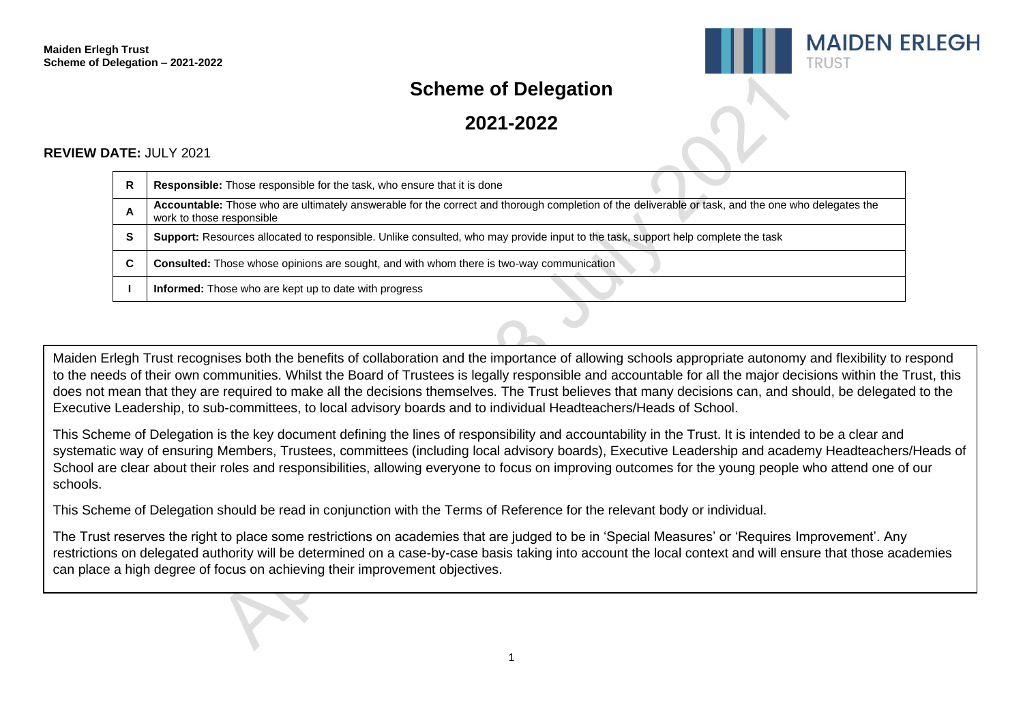

# **Scheme of Delegation**

**2021-2022**

# **REVIEW DATE: JULY 2021**

| R | <b>Responsible:</b> Those responsible for the task, who ensure that it is done                                                                                                  |
|---|---------------------------------------------------------------------------------------------------------------------------------------------------------------------------------|
| A | Accountable: Those who are ultimately answerable for the correct and thorough completion of the deliverable or task, and the one who delegates the<br>work to those responsible |
| s | Support: Resources allocated to responsible. Unlike consulted, who may provide input to the task, support help complete the task                                                |
|   | <b>Consulted:</b> Those whose opinions are sought, and with whom there is two-way communication                                                                                 |
|   | <b>Informed:</b> Those who are kept up to date with progress                                                                                                                    |

Maiden Erlegh Trust recognises both the benefits of collaboration and the importance of allowing schools appropriate autonomy and flexibility to respond to the needs of their own communities. Whilst the Board of Trustees is legally responsible and accountable for all the major decisions within the Trust, this does not mean that they are required to make all the decisions themselves. The Trust believes that many decisions can, and should, be delegated to the Executive Leadership, to sub-committees, to local advisory boards and to individual Headteachers/Heads of School.

This Scheme of Delegation is the key document defining the lines of responsibility and accountability in the Trust. It is intended to be a clear and systematic way of ensuring Members, Trustees, committees (including local advisory boards), Executive Leadership and academy Headteachers/Heads of School are clear about their roles and responsibilities, allowing everyone to focus on improving outcomes for the young people who attend one of our schools.

This Scheme of Delegation should be read in conjunction with the Terms of Reference for the relevant body or individual.

The Trust reserves the right to place some restrictions on academies that are judged to be in 'Special Measures' or 'Requires Improvement'. Any restrictions on delegated authority will be determined on a case-by-case basis taking into account the local context and will ensure that those academies can place a high degree of focus on achieving their improvement objectives.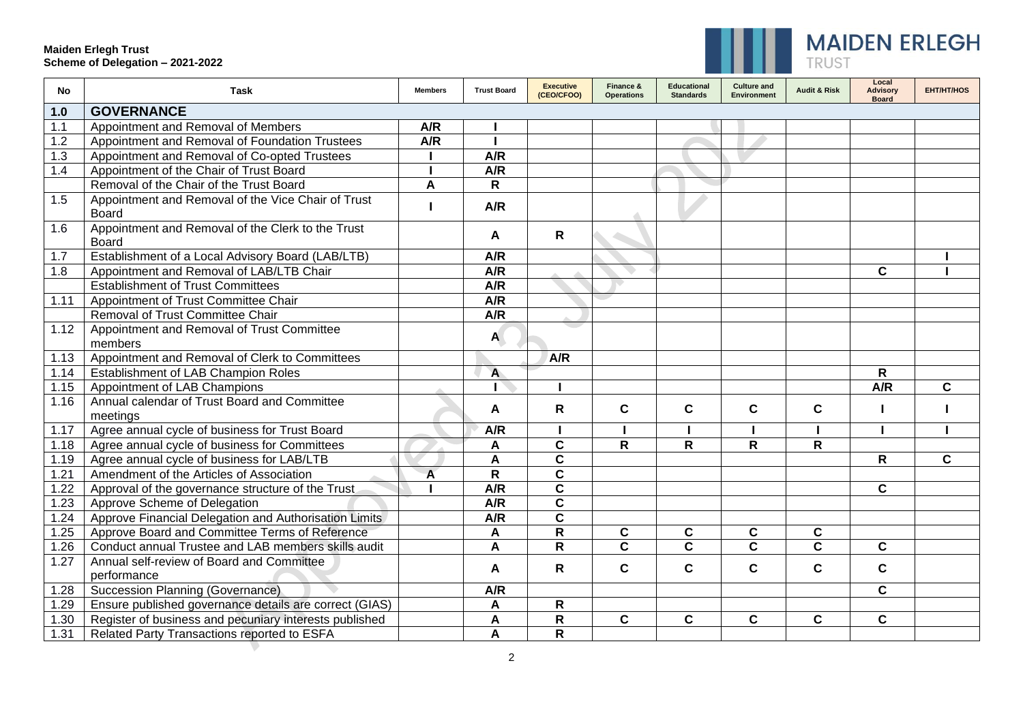$\overline{\phantom{0}}$ 



| No   | <b>Task</b>                                                        | <b>Members</b> | <b>Trust Board</b> | <b>Executive</b><br>(CEO/CFOO) | Finance &<br><b>Operations</b> | <b>Educational</b><br><b>Standards</b> | <b>Culture and</b><br><b>Environment</b> | <b>Audit &amp; Risk</b> | Local<br><b>Advisory</b><br><b>Board</b> | <b>EHT/HT/HOS</b> |
|------|--------------------------------------------------------------------|----------------|--------------------|--------------------------------|--------------------------------|----------------------------------------|------------------------------------------|-------------------------|------------------------------------------|-------------------|
| 1.0  | <b>GOVERNANCE</b>                                                  |                |                    |                                |                                |                                        |                                          |                         |                                          |                   |
| 1.1  | Appointment and Removal of Members                                 | A/R            |                    |                                |                                |                                        |                                          |                         |                                          |                   |
| 1.2  | Appointment and Removal of Foundation Trustees                     | A/R            |                    |                                |                                |                                        |                                          |                         |                                          |                   |
| 1.3  | Appointment and Removal of Co-opted Trustees                       |                | $\overline{A/R}$   |                                |                                |                                        |                                          |                         |                                          |                   |
| 1.4  | Appointment of the Chair of Trust Board                            |                | $\overline{A/R}$   |                                |                                |                                        |                                          |                         |                                          |                   |
|      | Removal of the Chair of the Trust Board                            | A              | $\mathsf{R}$       |                                |                                |                                        |                                          |                         |                                          |                   |
| 1.5  | Appointment and Removal of the Vice Chair of Trust<br><b>Board</b> |                | A/R                |                                |                                |                                        |                                          |                         |                                          |                   |
| 1.6  | Appointment and Removal of the Clerk to the Trust<br>Board         |                | A                  | R                              |                                |                                        |                                          |                         |                                          |                   |
| 1.7  | Establishment of a Local Advisory Board (LAB/LTB)                  |                | A/R                |                                |                                |                                        |                                          |                         |                                          |                   |
| 1.8  | Appointment and Removal of LAB/LTB Chair                           |                | A/R                |                                |                                |                                        |                                          |                         | $\mathbf{C}$                             |                   |
|      | <b>Establishment of Trust Committees</b>                           |                | $\overline{A/R}$   |                                |                                |                                        |                                          |                         |                                          |                   |
| 1.11 | Appointment of Trust Committee Chair                               |                | $\overline{A/R}$   |                                |                                |                                        |                                          |                         |                                          |                   |
|      | Removal of Trust Committee Chair                                   |                | A/R                |                                |                                |                                        |                                          |                         |                                          |                   |
| 1.12 | Appointment and Removal of Trust Committee                         |                | A                  |                                |                                |                                        |                                          |                         |                                          |                   |
|      | members                                                            |                |                    |                                |                                |                                        |                                          |                         |                                          |                   |
| 1.13 | Appointment and Removal of Clerk to Committees                     |                |                    | A/R                            |                                |                                        |                                          |                         |                                          |                   |
| 1.14 | Establishment of LAB Champion Roles                                |                | $\blacktriangle$   |                                |                                |                                        |                                          |                         | R                                        |                   |
| 1.15 | Appointment of LAB Champions                                       |                |                    |                                |                                |                                        |                                          |                         | A/R                                      | C                 |
| 1.16 | Annual calendar of Trust Board and Committee<br>meetings           |                | A                  | R                              | C                              | $\mathbf c$                            | C                                        | C                       |                                          |                   |
| 1.17 | Agree annual cycle of business for Trust Board                     |                | A/R                |                                |                                |                                        |                                          |                         |                                          |                   |
| 1.18 | Agree annual cycle of business for Committees                      |                | A                  | C                              | R                              | $\mathsf{R}$                           | R                                        | R                       |                                          |                   |
| 1.19 | Agree annual cycle of business for LAB/LTB                         |                | A                  | C                              |                                |                                        |                                          |                         | R                                        | C                 |
| 1.21 | Amendment of the Articles of Association                           | $\overline{A}$ | $\mathsf{R}$       | C                              |                                |                                        |                                          |                         |                                          |                   |
| 1.22 | Approval of the governance structure of the Trust                  |                | A/R                | $\overline{\mathbf{c}}$        |                                |                                        |                                          |                         | $\mathbf{C}$                             |                   |
| 1.23 | Approve Scheme of Delegation                                       |                | A/R                | $\overline{\mathbf{c}}$        |                                |                                        |                                          |                         |                                          |                   |
| 1.24 | Approve Financial Delegation and Authorisation Limits              |                | A/R                | C                              |                                |                                        |                                          |                         |                                          |                   |
| 1.25 | Approve Board and Committee Terms of Reference                     |                | A                  | R                              | $\mathbf c$                    | $\mathbf c$                            | $\mathbf c$                              | $\mathbf c$             |                                          |                   |
| 1.26 | Conduct annual Trustee and LAB members skills audit                |                | A                  | R                              | $\mathbf{C}$                   | $\mathbf c$                            | $\mathbf{C}$                             | C                       | $\mathbf{C}$                             |                   |
| 1.27 | Annual self-review of Board and Committee                          |                |                    | R                              | $\mathbf c$                    | $\mathbf{C}$                           | $\mathbf C$                              | $\mathbf{C}$            | $\mathbf{C}$                             |                   |
|      | performance                                                        |                | A                  |                                |                                |                                        |                                          |                         |                                          |                   |
| 1.28 | Succession Planning (Governance)                                   |                | A/R                |                                |                                |                                        |                                          |                         | $\mathbf{C}$                             |                   |
| 1.29 | Ensure published governance details are correct (GIAS)             |                | A                  | R                              |                                |                                        |                                          |                         |                                          |                   |
| 1.30 | Register of business and pecuniary interests published             |                | A                  | $\overline{\mathsf{R}}$        | C                              | $\mathbf{C}$                           | $\mathbf C$                              | $\mathbf{C}$            | $\mathbf{C}$                             |                   |
| 1.31 | <b>Related Party Transactions reported to ESFA</b>                 |                | A                  | R                              |                                |                                        |                                          |                         |                                          |                   |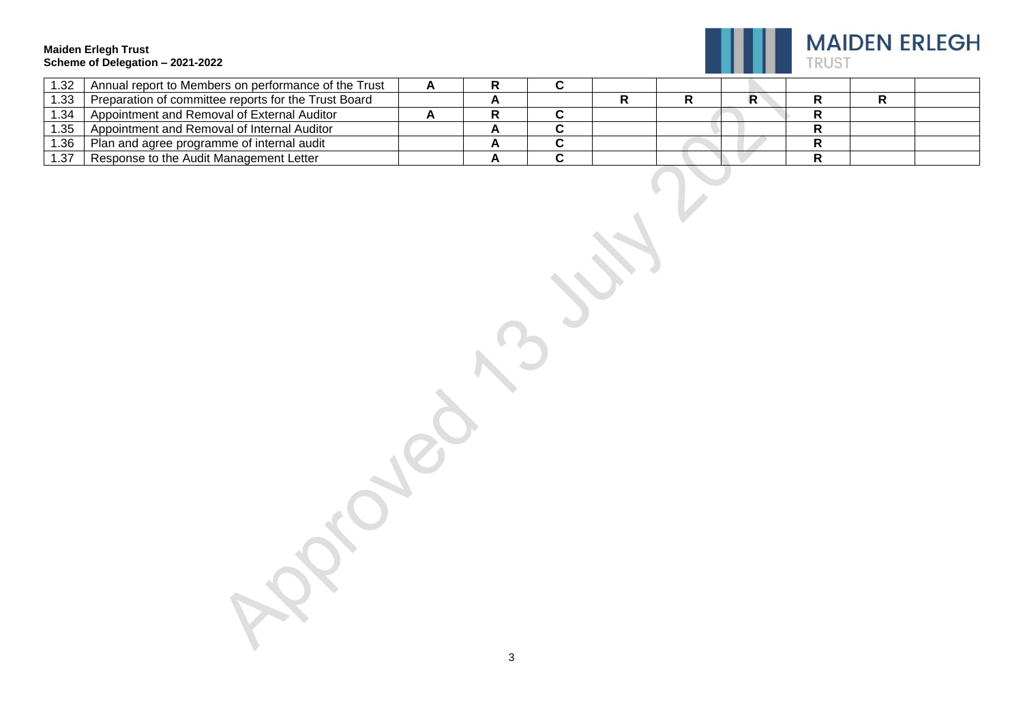

| 1.32 | Annual report to Members on performance of the Trust |  |  |  |  |  |
|------|------------------------------------------------------|--|--|--|--|--|
| .33  | Preparation of committee reports for the Trust Board |  |  |  |  |  |
| 1.34 | Appointment and Removal of External Auditor          |  |  |  |  |  |
| .35  | Appointment and Removal of Internal Auditor          |  |  |  |  |  |
| 1.36 | Plan and agree programme of internal audit           |  |  |  |  |  |
| 1.37 | Response to the Audit Management Letter              |  |  |  |  |  |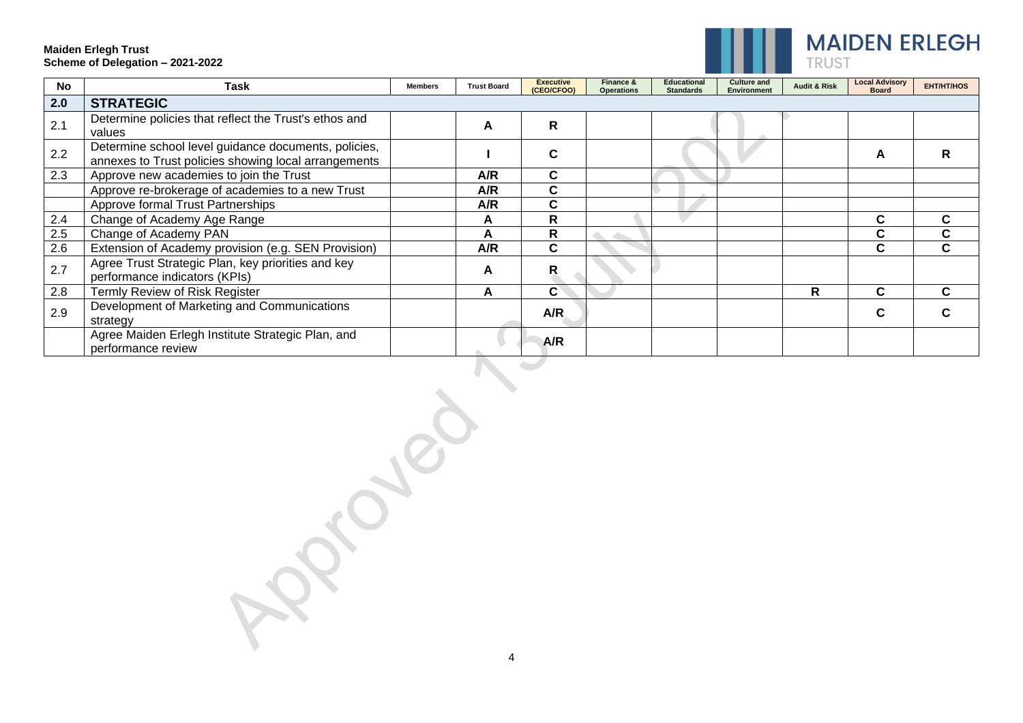

| <b>No</b> | <b>Task</b>                                                                                                  | <b>Members</b> | <b>Trust Board</b> | <b>Executive</b><br>(CEO/CFOO) | Finance &<br><b>Operations</b> | <b>Educational</b><br><b>Standards</b> | <b>Culture and</b><br>Environment | <b>Audit &amp; Risk</b> | <b>Local Advisory</b><br><b>Board</b> | <b>EHT/HT/HOS</b> |
|-----------|--------------------------------------------------------------------------------------------------------------|----------------|--------------------|--------------------------------|--------------------------------|----------------------------------------|-----------------------------------|-------------------------|---------------------------------------|-------------------|
| 2.0       | <b>STRATEGIC</b>                                                                                             |                |                    |                                |                                |                                        |                                   |                         |                                       |                   |
| 2.1       | Determine policies that reflect the Trust's ethos and<br>values                                              |                | A                  | $\mathsf{R}$                   |                                |                                        |                                   |                         |                                       |                   |
| 2.2       | Determine school level guidance documents, policies,<br>annexes to Trust policies showing local arrangements |                |                    | C                              |                                |                                        |                                   |                         | A                                     |                   |
| 2.3       | Approve new academies to join the Trust                                                                      |                | A/R                | C                              |                                |                                        |                                   |                         |                                       |                   |
|           | Approve re-brokerage of academies to a new Trust                                                             |                | A/R                | C                              |                                |                                        |                                   |                         |                                       |                   |
|           | Approve formal Trust Partnerships                                                                            |                | A/R                | C                              |                                |                                        |                                   |                         |                                       |                   |
| 2.4       | Change of Academy Age Range                                                                                  |                | A                  | R                              |                                |                                        |                                   |                         | C                                     | C                 |
| 2.5       | Change of Academy PAN                                                                                        |                | A                  | R                              |                                |                                        |                                   |                         |                                       | C                 |
| 2.6       | Extension of Academy provision (e.g. SEN Provision)                                                          |                | A/R                | C                              |                                |                                        |                                   |                         | U.                                    | C                 |
| 2.7       | Agree Trust Strategic Plan, key priorities and key<br>performance indicators (KPIs)                          |                | A                  | R                              |                                |                                        |                                   |                         |                                       |                   |
| 2.8       | Termly Review of Risk Register                                                                               |                | A                  | C                              |                                |                                        |                                   | R                       |                                       |                   |
| 2.9       | Development of Marketing and Communications<br>strategy                                                      |                |                    | A/R                            |                                |                                        |                                   |                         |                                       |                   |
|           | Agree Maiden Erlegh Institute Strategic Plan, and<br>performance review                                      |                |                    | A/R                            |                                |                                        |                                   |                         |                                       |                   |

CLOUD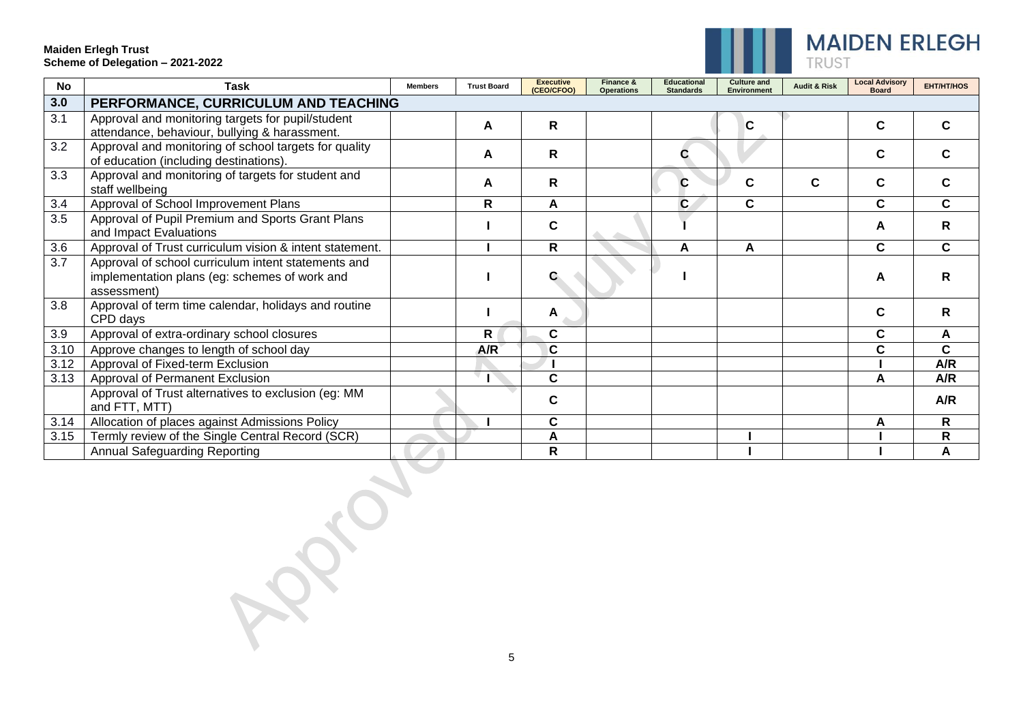

| No               | <b>Task</b>                                                                                                         | <b>Members</b> | <b>Trust Board</b> | <b>Executive</b><br>(CEO/CFOO) | Finance &<br><b>Operations</b> | <b>Educational</b><br><b>Standards</b> | <b>Culture and</b><br><b>Environment</b> | <b>Audit &amp; Risk</b> | <b>Local Advisory</b><br><b>Board</b> | <b>EHT/HT/HOS</b> |
|------------------|---------------------------------------------------------------------------------------------------------------------|----------------|--------------------|--------------------------------|--------------------------------|----------------------------------------|------------------------------------------|-------------------------|---------------------------------------|-------------------|
| 3.0              | PERFORMANCE, CURRICULUM AND TEACHING                                                                                |                |                    |                                |                                |                                        |                                          |                         |                                       |                   |
| 3.1              | Approval and monitoring targets for pupil/student<br>attendance, behaviour, bullying & harassment.                  |                | A                  | R                              |                                |                                        | C                                        |                         | C                                     | C                 |
| $\overline{3.2}$ | Approval and monitoring of school targets for quality<br>of education (including destinations).                     |                | A                  | R                              |                                |                                        |                                          |                         | C                                     | C                 |
| 3.3              | Approval and monitoring of targets for student and<br>staff wellbeing                                               |                | A                  | R                              |                                | С                                      | C                                        | C                       | C                                     | C                 |
| 3.4              | Approval of School Improvement Plans                                                                                |                | $\mathsf{R}$       | A                              |                                | $\mathbf{C}$                           | C                                        |                         | C                                     | C.                |
| 3.5              | Approval of Pupil Premium and Sports Grant Plans<br>and Impact Evaluations                                          |                |                    | C                              |                                |                                        |                                          |                         | A                                     | R                 |
| 3.6              | Approval of Trust curriculum vision & intent statement.                                                             |                |                    | $\mathsf{R}$                   |                                | А                                      | Α                                        |                         | C                                     | C.                |
| 3.7              | Approval of school curriculum intent statements and<br>implementation plans (eg: schemes of work and<br>assessment) |                |                    |                                |                                |                                        |                                          |                         | A                                     | R                 |
| 3.8              | Approval of term time calendar, holidays and routine<br>CPD days                                                    |                |                    | A                              |                                |                                        |                                          |                         | C                                     | R                 |
| 3.9              | Approval of extra-ordinary school closures                                                                          |                | R                  | C                              |                                |                                        |                                          |                         | C                                     | A                 |
| 3.10             | Approve changes to length of school day                                                                             |                | A/R                | C                              |                                |                                        |                                          |                         | C                                     | C                 |
| 3.12             | Approval of Fixed-term Exclusion                                                                                    |                |                    |                                |                                |                                        |                                          |                         |                                       | A/R               |
| 3.13             | Approval of Permanent Exclusion                                                                                     |                |                    | $\mathbf C$                    |                                |                                        |                                          |                         | А                                     | A/R               |
|                  | Approval of Trust alternatives to exclusion (eg: MM<br>and FTT, MTT)                                                |                |                    | $\mathbf c$                    |                                |                                        |                                          |                         |                                       | A/R               |
| 3.14             | Allocation of places against Admissions Policy                                                                      |                |                    | C                              |                                |                                        |                                          |                         | A                                     | R.                |
| 3.15             | Termly review of the Single Central Record (SCR)                                                                    |                |                    | A                              |                                |                                        |                                          |                         |                                       | R                 |
|                  | Annual Safeguarding Reporting                                                                                       |                |                    | $\mathsf{R}$                   |                                |                                        |                                          |                         |                                       | A                 |

Roch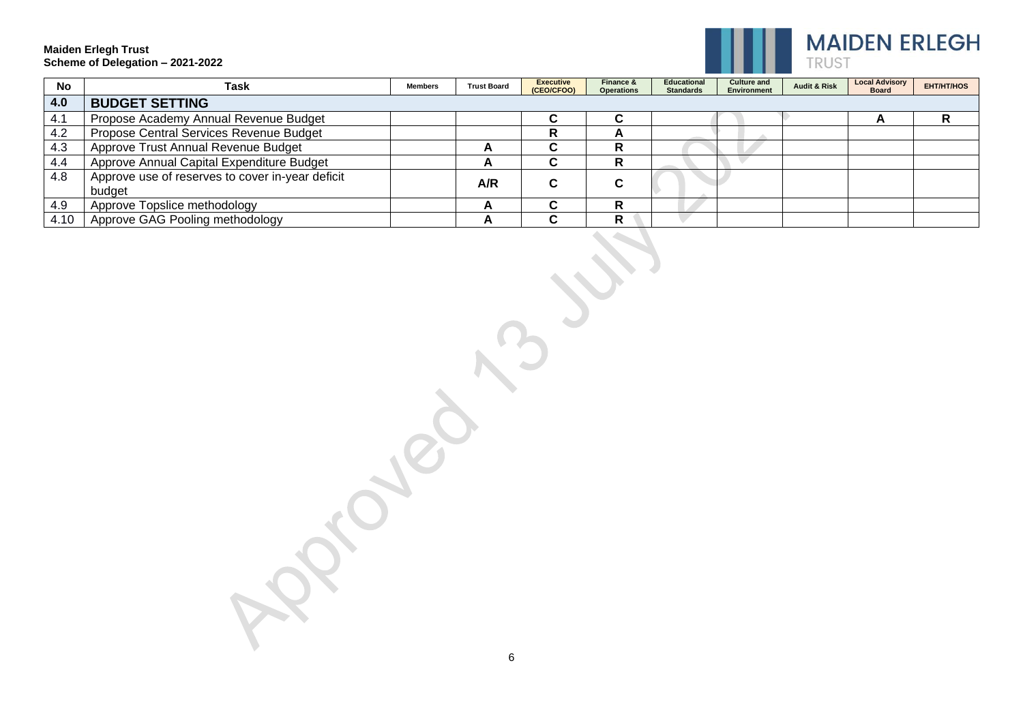

| <b>No</b> | Task                                             | <b>Members</b> | <b>Trust Board</b> | <b>Executive</b><br>(CEO/CFOO) | Finance &<br><b>Operations</b> | <b>Educational</b><br><b>Standards</b> | <b>Culture and</b><br><b>Environment</b> | <b>Audit &amp; Risk</b> | <b>Local Advisory</b><br><b>Board</b> | <b>EHT/HT/HOS</b> |
|-----------|--------------------------------------------------|----------------|--------------------|--------------------------------|--------------------------------|----------------------------------------|------------------------------------------|-------------------------|---------------------------------------|-------------------|
| 4.0       | <b>BUDGET SETTING</b>                            |                |                    |                                |                                |                                        |                                          |                         |                                       |                   |
| 4.1       | Propose Academy Annual Revenue Budget            |                |                    | ◠                              | ~                              |                                        |                                          |                         |                                       |                   |
| 4.2       | Propose Central Services Revenue Budget          |                |                    | R                              | <u>r</u>                       |                                        |                                          |                         |                                       |                   |
| 4.3       | Approve Trust Annual Revenue Budget              |                | -                  | $\ddot{\phantom{1}}$           | n                              |                                        |                                          |                         |                                       |                   |
| 4.4       | Approve Annual Capital Expenditure Budget        |                | <u>r</u>           | ◠                              | n                              |                                        |                                          |                         |                                       |                   |
| 4.8       | Approve use of reserves to cover in-year deficit |                | A/R                | ◠                              | ◠                              |                                        |                                          |                         |                                       |                   |
|           | budget                                           |                |                    |                                | ື                              |                                        |                                          |                         |                                       |                   |
| 4.9       | Approve Topslice methodology                     |                | <u>_</u>           | . .                            |                                |                                        |                                          |                         |                                       |                   |
| 4.10      | Approve GAG Pooling methodology                  |                | n                  | $\overline{\phantom{a}}$       | R                              |                                        |                                          |                         |                                       |                   |

6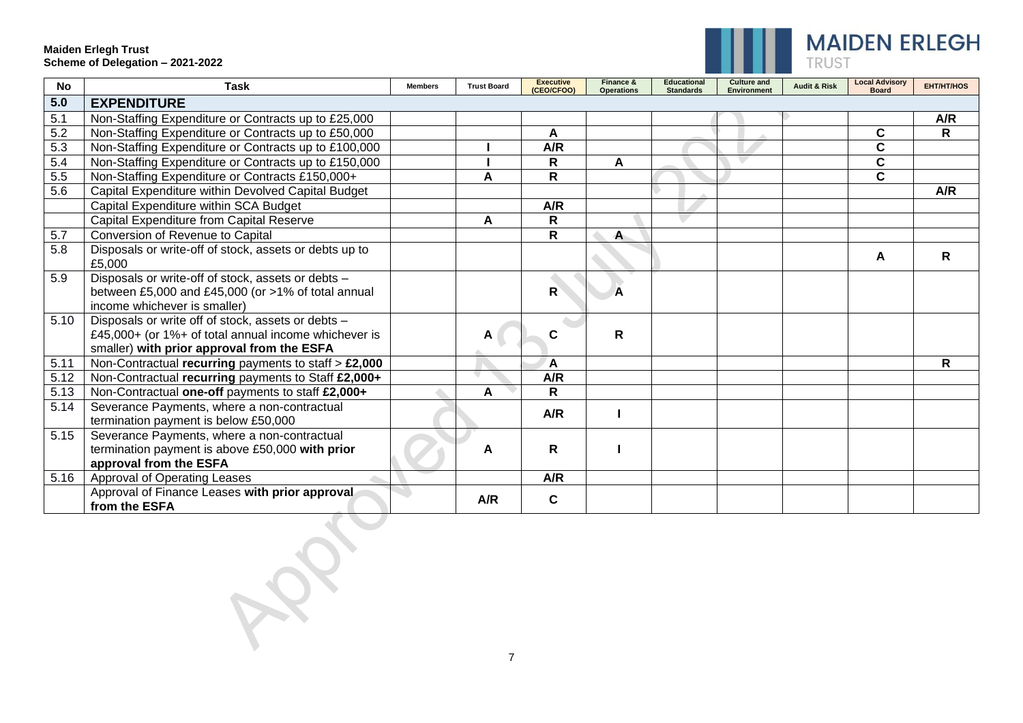

| <b>No</b> | <b>Task</b>                                                                                                                                              | <b>Members</b> | <b>Trust Board</b> | <b>Executive</b><br>(CEO/CFOO) | Finance &<br><b>Operations</b> | <b>Educational</b><br><b>Standards</b> | <b>Culture and</b><br><b>Environment</b> | <b>Audit &amp; Risk</b> | <b>Local Advisory</b><br><b>Board</b> | <b>EHT/HT/HOS</b> |
|-----------|----------------------------------------------------------------------------------------------------------------------------------------------------------|----------------|--------------------|--------------------------------|--------------------------------|----------------------------------------|------------------------------------------|-------------------------|---------------------------------------|-------------------|
| 5.0       | <b>EXPENDITURE</b>                                                                                                                                       |                |                    |                                |                                |                                        |                                          |                         |                                       |                   |
| 5.1       | Non-Staffing Expenditure or Contracts up to £25,000                                                                                                      |                |                    |                                |                                |                                        |                                          |                         |                                       | A/R               |
| 5.2       | Non-Staffing Expenditure or Contracts up to £50,000                                                                                                      |                |                    | A                              |                                |                                        |                                          |                         | $\mathbf c$                           | R                 |
| 5.3       | Non-Staffing Expenditure or Contracts up to £100,000                                                                                                     |                |                    | A/R                            |                                |                                        |                                          |                         | $\mathbf c$                           |                   |
| 5.4       | Non-Staffing Expenditure or Contracts up to £150,000                                                                                                     |                |                    | $\mathsf{R}$                   | A                              |                                        |                                          |                         | $\mathbf{C}$                          |                   |
| 5.5       | Non-Staffing Expenditure or Contracts £150,000+                                                                                                          |                | Α                  | R                              |                                |                                        |                                          |                         | $\mathbf{C}$                          |                   |
| 5.6       | Capital Expenditure within Devolved Capital Budget                                                                                                       |                |                    |                                |                                |                                        |                                          |                         |                                       | A/R               |
|           | Capital Expenditure within SCA Budget                                                                                                                    |                |                    | A/R                            |                                |                                        |                                          |                         |                                       |                   |
|           | Capital Expenditure from Capital Reserve                                                                                                                 |                | А                  | $\mathsf R$                    |                                |                                        |                                          |                         |                                       |                   |
| 5.7       | Conversion of Revenue to Capital                                                                                                                         |                |                    | $\mathsf R$                    | A                              |                                        |                                          |                         |                                       |                   |
| 5.8       | Disposals or write-off of stock, assets or debts up to<br>£5,000                                                                                         |                |                    |                                |                                |                                        |                                          |                         | A                                     | R                 |
| 5.9       | Disposals or write-off of stock, assets or debts -<br>between £5,000 and £45,000 (or >1% of total annual<br>income whichever is smaller)                 |                |                    | $\mathsf{R}$                   | A                              |                                        |                                          |                         |                                       |                   |
| 5.10      | Disposals or write off of stock, assets or debts -<br>£45,000+ (or 1%+ of total annual income whichever is<br>smaller) with prior approval from the ESFA |                | A                  | C                              | R                              |                                        |                                          |                         |                                       |                   |
| 5.11      | Non-Contractual recurring payments to staff $> \pounds 2,000$                                                                                            |                |                    | $\mathsf{A}$                   |                                |                                        |                                          |                         |                                       | R                 |
| 5.12      | Non-Contractual recurring payments to Staff £2,000+                                                                                                      |                |                    | A/R                            |                                |                                        |                                          |                         |                                       |                   |
| 5.13      | Non-Contractual one-off payments to staff £2,000+                                                                                                        |                | A                  | $\mathsf{R}$                   |                                |                                        |                                          |                         |                                       |                   |
| 5.14      | Severance Payments, where a non-contractual<br>termination payment is below £50,000                                                                      |                |                    | A/R                            |                                |                                        |                                          |                         |                                       |                   |
| 5.15      | Severance Payments, where a non-contractual<br>termination payment is above £50,000 with prior<br>approval from the ESFA                                 |                | A                  | $\mathsf{R}$                   |                                |                                        |                                          |                         |                                       |                   |
| 5.16      | Approval of Operating Leases                                                                                                                             |                |                    | A/R                            |                                |                                        |                                          |                         |                                       |                   |
|           | Approval of Finance Leases with prior approval<br>from the ESFA                                                                                          |                | A/R                | $\mathbf c$                    |                                |                                        |                                          |                         |                                       |                   |

HOL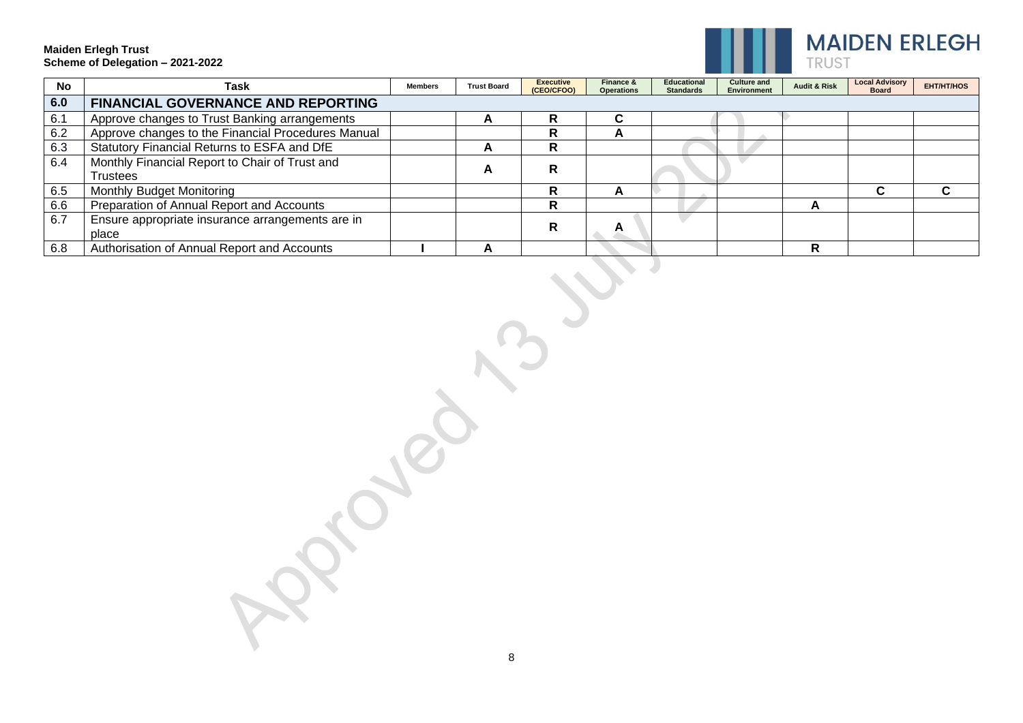

| <b>No</b> | Task                                               | Members | <b>Trust Board</b> | <b>Executive</b><br>(CEO/CFOO) | Finance &<br><b>Operations</b> | <b>Educational</b><br><b>Standards</b> | <b>Culture and</b><br><b>Environment</b> | <b>Audit &amp; Risk</b> | <b>Local Advisory</b><br><b>Board</b> | <b>EHT/HT/HOS</b> |
|-----------|----------------------------------------------------|---------|--------------------|--------------------------------|--------------------------------|----------------------------------------|------------------------------------------|-------------------------|---------------------------------------|-------------------|
| 6.0       | <b>FINANCIAL GOVERNANCE AND REPORTING</b>          |         |                    |                                |                                |                                        |                                          |                         |                                       |                   |
| 6.1       | Approve changes to Trust Banking arrangements      |         | A                  | R                              | ⌒<br>ι.                        |                                        |                                          |                         |                                       |                   |
| 6.2       | Approve changes to the Financial Procedures Manual |         |                    | R                              | A                              |                                        |                                          |                         |                                       |                   |
| 6.3       | Statutory Financial Returns to ESFA and DfE        |         | A                  | R                              |                                |                                        |                                          |                         |                                       |                   |
| 6.4       | Monthly Financial Report to Chair of Trust and     |         |                    | R                              |                                |                                        |                                          |                         |                                       |                   |
|           | <b>Trustees</b>                                    |         | A                  |                                |                                |                                        |                                          |                         |                                       |                   |
| 6.5       | Monthly Budget Monitoring                          |         |                    | R                              | A                              |                                        |                                          |                         |                                       |                   |
| 6.6       | Preparation of Annual Report and Accounts          |         |                    | R                              |                                |                                        |                                          | A                       |                                       |                   |
| 6.7       | Ensure appropriate insurance arrangements are in   |         |                    | R                              |                                |                                        |                                          |                         |                                       |                   |
|           | place                                              |         |                    |                                |                                |                                        |                                          |                         |                                       |                   |
| 6.8       | Authorisation of Annual Report and Accounts        |         | A                  |                                |                                |                                        |                                          | R                       |                                       |                   |

8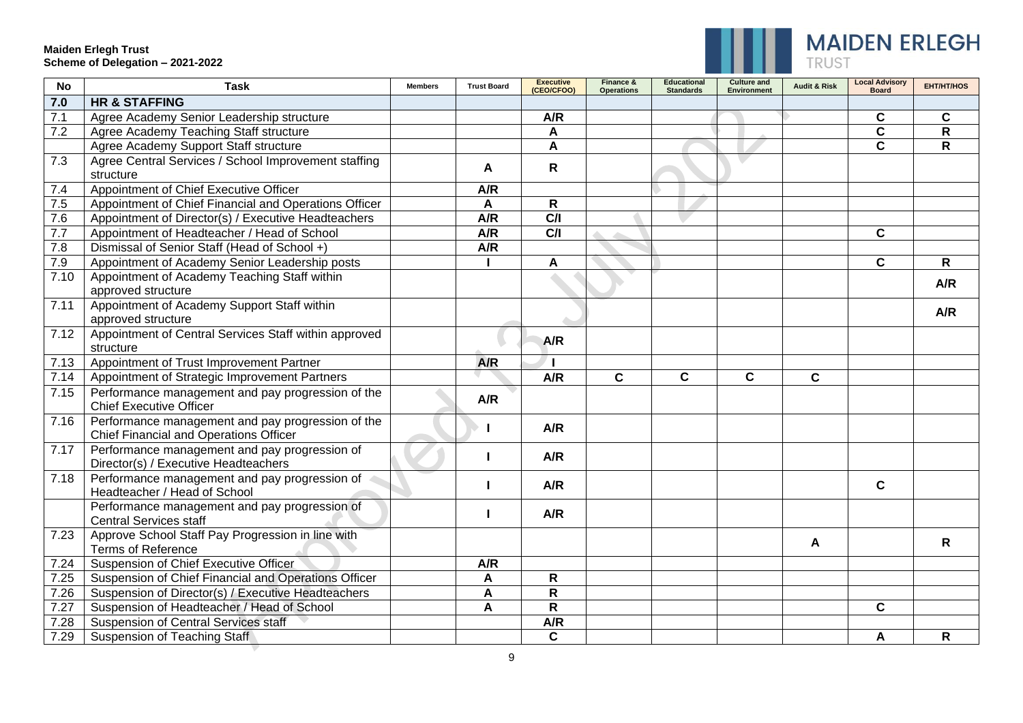▼



| <b>No</b> | <b>Task</b>                                                                                 | <b>Members</b> | <b>Trust Board</b> | <b>Executive</b><br>(CEO/CFOO) | Finance &<br><b>Operations</b> | <b>Educational</b><br><b>Standards</b> | <b>Culture and</b><br><b>Environment</b> | <b>Audit &amp; Risk</b> | <b>Local Advisory</b><br><b>Board</b> | <b>EHT/HT/HOS</b> |
|-----------|---------------------------------------------------------------------------------------------|----------------|--------------------|--------------------------------|--------------------------------|----------------------------------------|------------------------------------------|-------------------------|---------------------------------------|-------------------|
| 7.0       | <b>HR &amp; STAFFING</b>                                                                    |                |                    |                                |                                |                                        |                                          |                         |                                       |                   |
| 7.1       | Agree Academy Senior Leadership structure                                                   |                |                    | A/R                            |                                |                                        |                                          |                         | C                                     | $\mathbf c$       |
| 7.2       | Agree Academy Teaching Staff structure                                                      |                |                    | A                              |                                |                                        |                                          |                         | $\mathbf c$                           | R                 |
|           | Agree Academy Support Staff structure                                                       |                |                    | A                              |                                |                                        |                                          |                         | $\mathbf{C}$                          | R                 |
| 7.3       | Agree Central Services / School Improvement staffing<br>structure                           |                | A                  | $\mathsf{R}$                   |                                |                                        |                                          |                         |                                       |                   |
| 7.4       | Appointment of Chief Executive Officer                                                      |                | A/R                |                                |                                |                                        |                                          |                         |                                       |                   |
| 7.5       | Appointment of Chief Financial and Operations Officer                                       |                | A                  | $\overline{\mathsf{R}}$        |                                |                                        |                                          |                         |                                       |                   |
| 7.6       | Appointment of Director(s) / Executive Headteachers                                         |                | A/R                | C/I                            |                                |                                        |                                          |                         |                                       |                   |
| 7.7       | Appointment of Headteacher / Head of School                                                 |                | A/R                | C/I                            |                                |                                        |                                          |                         | C                                     |                   |
| 7.8       | Dismissal of Senior Staff (Head of School +)                                                |                | A/R                |                                |                                |                                        |                                          |                         |                                       |                   |
| 7.9       | Appointment of Academy Senior Leadership posts                                              |                |                    | A                              |                                |                                        |                                          |                         | $\mathbf{C}$                          | $\mathsf{R}$      |
| 7.10      | Appointment of Academy Teaching Staff within<br>approved structure                          |                |                    |                                |                                |                                        |                                          |                         |                                       | A/R               |
| 7.11      | Appointment of Academy Support Staff within<br>approved structure                           |                |                    |                                |                                |                                        |                                          |                         |                                       | A/R               |
| 7.12      | Appointment of Central Services Staff within approved<br>structure                          |                |                    | A/R                            |                                |                                        |                                          |                         |                                       |                   |
| 7.13      | Appointment of Trust Improvement Partner                                                    |                | A/R                |                                |                                |                                        |                                          |                         |                                       |                   |
| 7.14      | Appointment of Strategic Improvement Partners                                               |                |                    | A/R                            | $\mathbf{C}$                   | $\mathbf C$                            | $\mathbf{C}$                             | $\mathbf c$             |                                       |                   |
| 7.15      | Performance management and pay progression of the<br><b>Chief Executive Officer</b>         |                | A/R                |                                |                                |                                        |                                          |                         |                                       |                   |
| 7.16      | Performance management and pay progression of the<br>Chief Financial and Operations Officer |                |                    | A/R                            |                                |                                        |                                          |                         |                                       |                   |
| 7.17      | Performance management and pay progression of<br>Director(s) / Executive Headteachers       |                |                    | A/R                            |                                |                                        |                                          |                         |                                       |                   |
| 7.18      | Performance management and pay progression of<br>Headteacher / Head of School               |                |                    | A/R                            |                                |                                        |                                          |                         | $\mathbf{C}$                          |                   |
|           | Performance management and pay progression of<br><b>Central Services staff</b>              |                |                    | A/R                            |                                |                                        |                                          |                         |                                       |                   |
| 7.23      | Approve School Staff Pay Progression in line with<br><b>Terms of Reference</b>              |                |                    |                                |                                |                                        |                                          | A                       |                                       | $\mathsf{R}$      |
| 7.24      | Suspension of Chief Executive Officer                                                       |                | A/R                |                                |                                |                                        |                                          |                         |                                       |                   |
| 7.25      | Suspension of Chief Financial and Operations Officer                                        |                | A                  | $\mathsf R$                    |                                |                                        |                                          |                         |                                       |                   |
| 7.26      | Suspension of Director(s) / Executive Headteachers                                          |                | A                  | $\mathsf R$                    |                                |                                        |                                          |                         |                                       |                   |
| 7.27      | Suspension of Headteacher / Head of School                                                  |                | A                  | $\mathsf{R}$                   |                                |                                        |                                          |                         | C                                     |                   |
| 7.28      | <b>Suspension of Central Services staff</b>                                                 |                |                    | A/R                            |                                |                                        |                                          |                         |                                       |                   |
| 7.29      | <b>Suspension of Teaching Staff</b>                                                         |                |                    | $\mathbf C$                    |                                |                                        |                                          |                         | A                                     | R.                |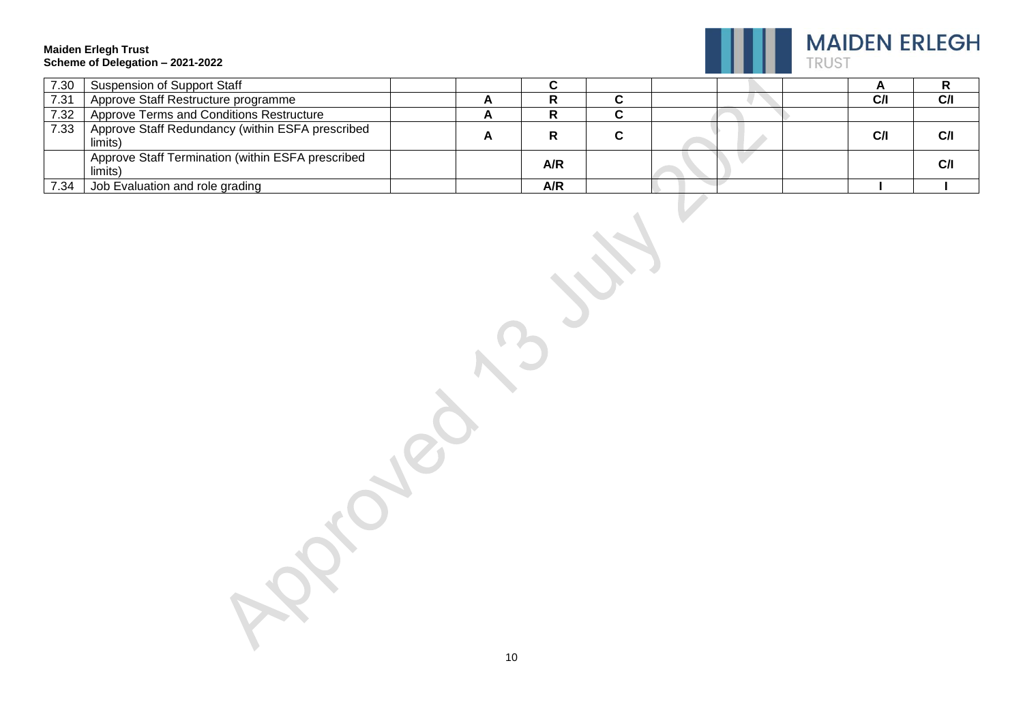

| 7.30 | <b>Suspension of Support Staff</b>                           |   |     |  |  |     |     |
|------|--------------------------------------------------------------|---|-----|--|--|-----|-----|
| 7.31 | Approve Staff Restructure programme                          |   |     |  |  | C/I | CЛ  |
| 7.32 | Approve Terms and Conditions Restructure                     |   |     |  |  |     |     |
| 7.33 | Approve Staff Redundancy (within ESFA prescribed<br>limits)  | − |     |  |  | C/I | CЛ  |
|      | Approve Staff Termination (within ESFA prescribed<br>limits) |   | A/R |  |  |     | C/I |
| 7.34 | Job Evaluation and role grading                              |   | A/R |  |  |     |     |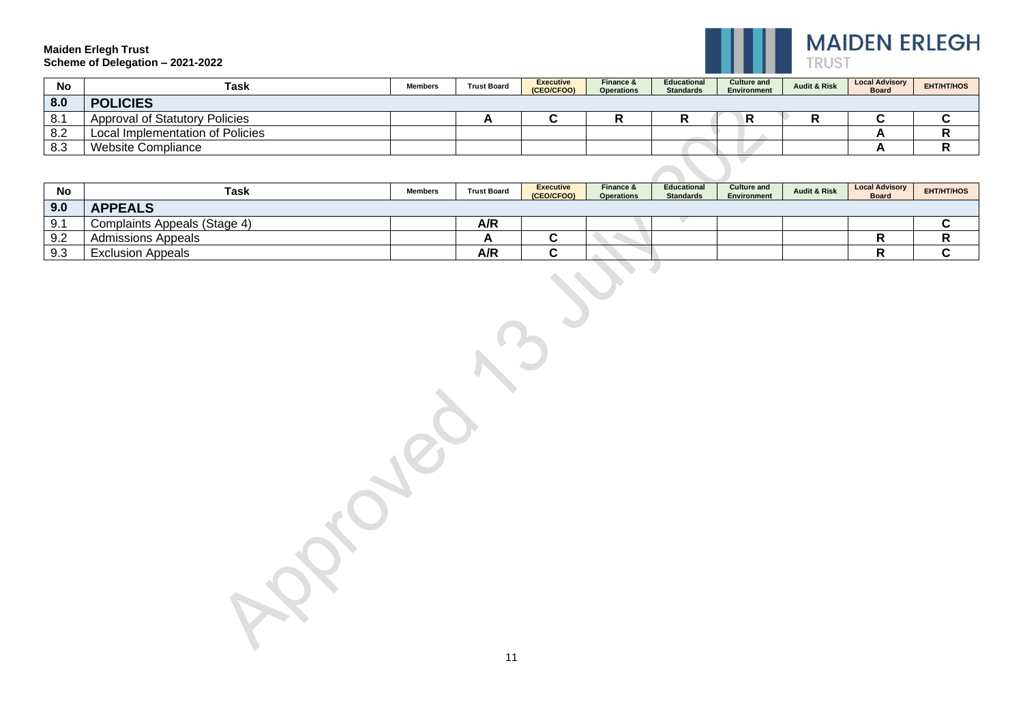

| <b>No</b> | Task                                  | <b>Members</b> | <b>Trust Board</b> | <b>Executive</b><br>(CEO/CFOO) | Finance &<br><b>Operations</b> | <b>Educational</b><br><b>Standards</b> | <b>Culture and</b><br>Environment | <b>Audit &amp; Risk</b> | <b>Local Advisory</b><br><b>Board</b> | <b>EHT/HT/HOS</b> |
|-----------|---------------------------------------|----------------|--------------------|--------------------------------|--------------------------------|----------------------------------------|-----------------------------------|-------------------------|---------------------------------------|-------------------|
| 8.0       | <b>POLICIES</b>                       |                |                    |                                |                                |                                        |                                   |                         |                                       |                   |
| 8.1       | <b>Approval of Statutory Policies</b> |                | <b>__</b>          |                                |                                |                                        | R                                 | œ                       |                                       |                   |
| 8.2       | Local Implementation of Policies      |                |                    |                                |                                |                                        |                                   |                         |                                       |                   |
| 8.3       | <b>Website Compliance</b>             |                |                    |                                |                                |                                        |                                   |                         |                                       |                   |
|           |                                       |                |                    |                                |                                |                                        |                                   |                         |                                       |                   |

| No  | Task                         | <b>Members</b> | <b>Trust Board</b> | <b>Executive</b><br>(CEO/CFOO) | Finance &<br><b>Operations</b> | <b>Educational</b><br><b>Standards</b> | <b>Culture and</b><br>Environment | <b>Audit &amp; Risk</b> | <b>Local Advisory</b><br><b>Board</b> | EHT/HT/HOS |
|-----|------------------------------|----------------|--------------------|--------------------------------|--------------------------------|----------------------------------------|-----------------------------------|-------------------------|---------------------------------------|------------|
| 9.0 | <b>APPEALS</b>               |                |                    |                                |                                |                                        |                                   |                         |                                       |            |
| 9.1 | Complaints Appeals (Stage 4) |                | A/R                |                                |                                |                                        |                                   |                         |                                       |            |
| 9.2 | Admissions Appeals           |                |                    | . .                            |                                |                                        |                                   |                         |                                       |            |
| 9.3 | <b>Exclusion Appeals</b>     |                | A/R                |                                |                                |                                        |                                   |                         |                                       |            |

11